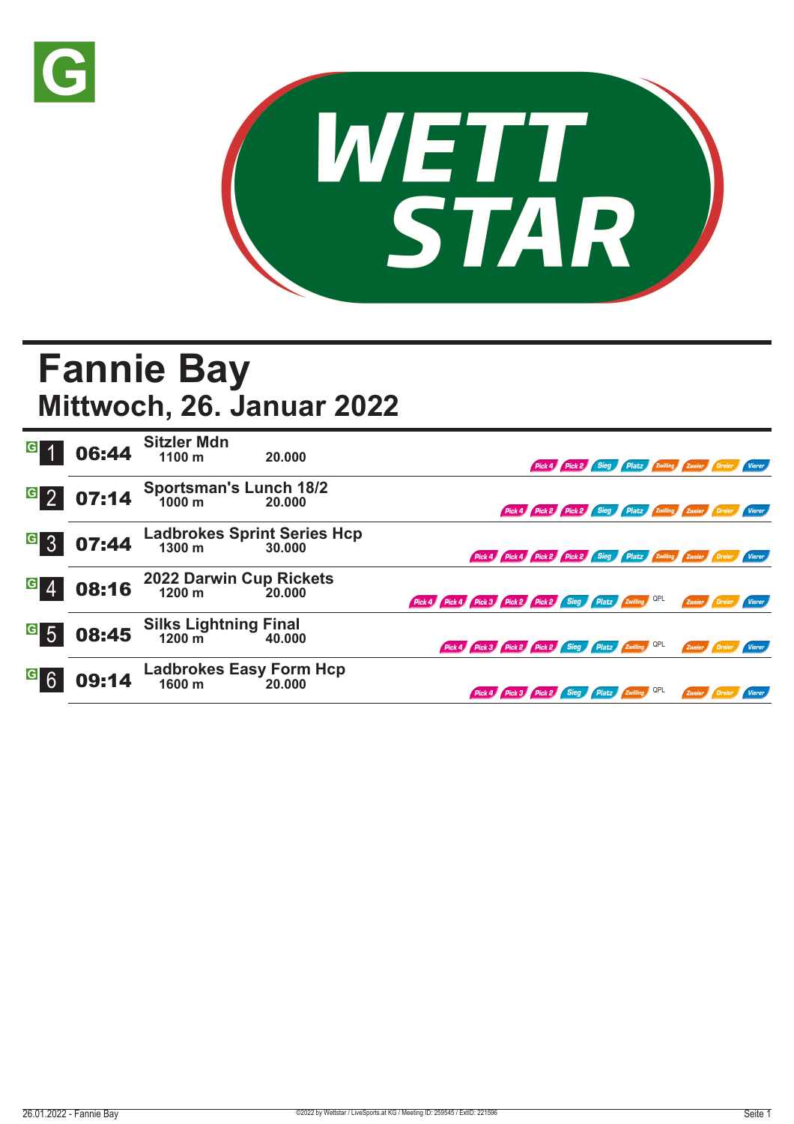



## **Fannie Bay Mittwoch, 26. Januar 2022**

| G 1     | 06:44 | <b>Sitzler Mdn</b><br>1100 m                   | 20.000 |                                                            |                                                                      |  |  |        | Pick 4 Pick 2 Sieg Platz Zwilling Zweier Dreier Vierer        |        |
|---------|-------|------------------------------------------------|--------|------------------------------------------------------------|----------------------------------------------------------------------|--|--|--------|---------------------------------------------------------------|--------|
| $G$ 2   | 07:14 | <b>Sportsman's Lunch 18/2</b><br>1000 m 20.000 |        |                                                            |                                                                      |  |  |        | Pick 4 Pick 2 Pick 2 Sieg Platz Zwilling Zweier Dreier Vierer |        |
| $G_{3}$ | 07:44 | Ladbrokes Sprint Series Hcp<br>1300 m 30.000   |        |                                                            | Pick 4 Pick 4 Pick 2 Pick 2 Sieg Platz Zwilling Zweier Dreier Vierer |  |  |        |                                                               |        |
| $G \ 4$ | 08:16 | 2022 Darwin Cup Rickets<br>1200 m 20.000       |        | Pick 4 Pick 4 Pick 3 Pick 2 Pick 2 Sieg Platz Zwilling QPL |                                                                      |  |  |        | Zweier Dreier                                                 | Vierer |
| $G$ 5   | 08:45 | Silks Lightning Final<br>1200 m 40.000         | 40.000 | Pick 4 Pick 3 Pick 2 Pick 2 Sieg Platz 2willing QPL        |                                                                      |  |  |        | Zweier Dreier Vierer                                          |        |
| $G$ 6   | 09:14 | Ladbrokes Easy Form Hcp<br>1600 m 20.000       |        |                                                            | Pick 4 Pick 3 Pick 2 Sieg Platz Zwilling QPL                         |  |  | Zweier |                                                               |        |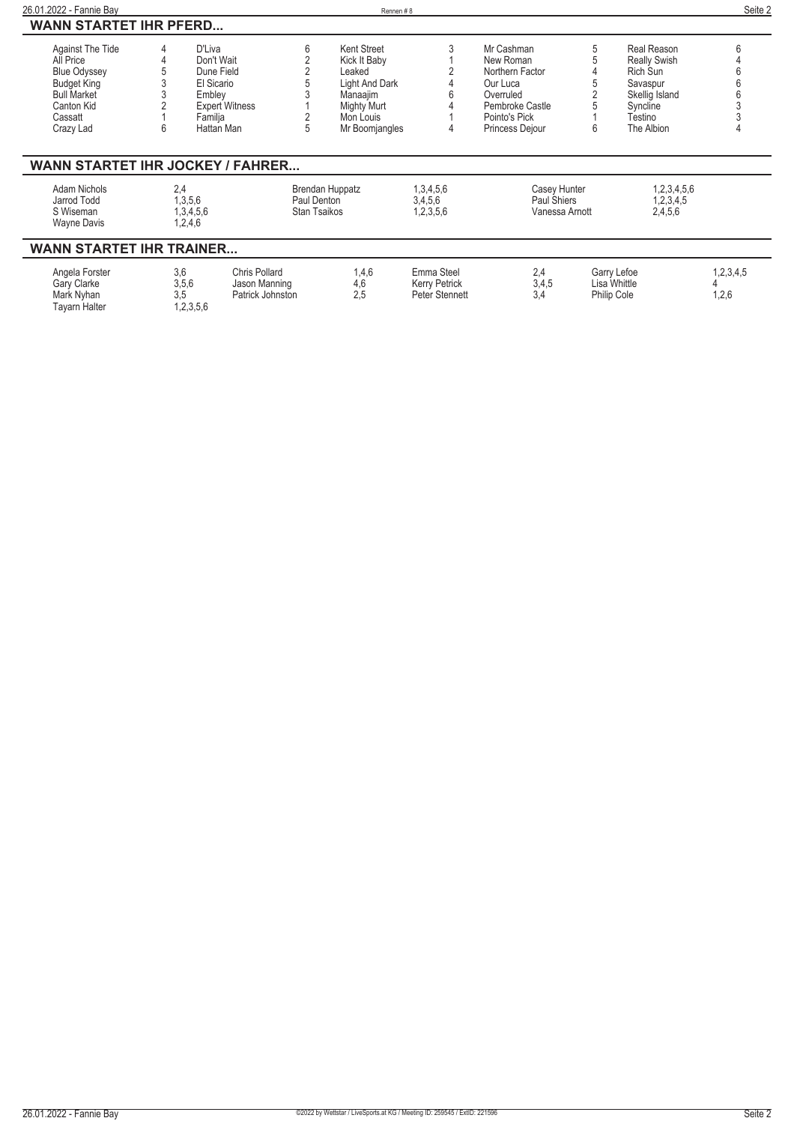| 26.01.2022 - Fannie Bav                                                                                                                |                                        |                                                                               |                                    | Rennen#8                                                                                                          |                                               |                                                                                                                            |   |                                                                                                                          | Seite 2            |
|----------------------------------------------------------------------------------------------------------------------------------------|----------------------------------------|-------------------------------------------------------------------------------|------------------------------------|-------------------------------------------------------------------------------------------------------------------|-----------------------------------------------|----------------------------------------------------------------------------------------------------------------------------|---|--------------------------------------------------------------------------------------------------------------------------|--------------------|
| <b>WANN STARTET IHR PFERD</b>                                                                                                          |                                        |                                                                               |                                    |                                                                                                                   |                                               |                                                                                                                            |   |                                                                                                                          |                    |
| Against The Tide<br>All Price<br><b>Blue Odyssey</b><br><b>Budget King</b><br><b>Bull Market</b><br>Canton Kid<br>Cassatt<br>Crazy Lad | D'Liva<br>Embley<br>Familja<br>հ       | Don't Wait<br>Dune Field<br>El Sicario<br><b>Expert Witness</b><br>Hattan Man | 6<br>5                             | Kent Street<br>Kick It Baby<br>Leaked<br>Light And Dark<br>Manaajim<br>Mighty Murt<br>Mon Louis<br>Mr Boomjangles | 3<br>4                                        | Mr Cashman<br>New Roman<br>Northern Factor<br>Our Luca<br>Overruled<br>Pembroke Castle<br>Pointo's Pick<br>Princess Dejour | 6 | Real Reason<br><b>Really Swish</b><br><b>Rich Sun</b><br>Savaspur<br>Skellig Island<br>Syncline<br>Testino<br>The Albion | 6                  |
| <b>WANN STARTET IHR JOCKEY / FAHRER</b>                                                                                                |                                        |                                                                               |                                    |                                                                                                                   |                                               |                                                                                                                            |   |                                                                                                                          |                    |
| Adam Nichols<br>Jarrod Todd<br>S Wiseman<br>Wayne Davis                                                                                | 2.4<br>1,3,5,6<br>1,3,4,5,6<br>1,2,4,6 |                                                                               | Paul Denton<br><b>Stan Tsaikos</b> | Brendan Huppatz                                                                                                   | 1,3,4,5,6<br>3,4,5,6<br>1,2,3,5,6             | Casey Hunter<br>Paul Shiers<br>Vanessa Arnott                                                                              |   | 1,2,3,4,5,6<br>1,2,3,4,5<br>2,4,5,6                                                                                      |                    |
| <b>WANN STARTET IHR TRAINER</b>                                                                                                        |                                        |                                                                               |                                    |                                                                                                                   |                                               |                                                                                                                            |   |                                                                                                                          |                    |
| Angela Forster<br>Gary Clarke<br>Mark Nyhan<br><b>Tayarn Halter</b>                                                                    | 3,6<br>3,5,6<br>3.5<br>1,2,3,5,6       | Chris Pollard<br>Jason Manning<br>Patrick Johnston                            |                                    | 1,4,6<br>4,6<br>2.5                                                                                               | Emma Steel<br>Kerry Petrick<br>Peter Stennett | 2,4<br>3,4,5<br>3.4                                                                                                        |   | Garry Lefoe<br>Lisa Whittle<br>Philip Cole                                                                               | 1,2,3,4,5<br>1,2,6 |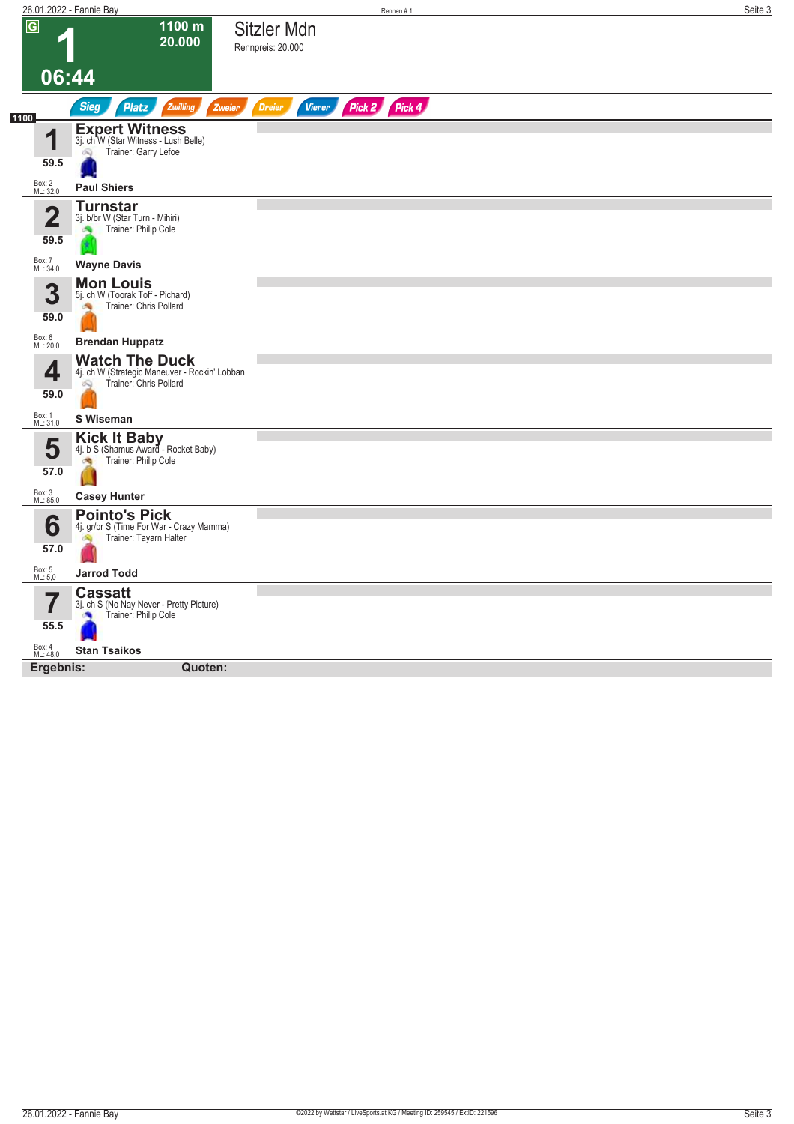|                                 | <u> 26.01.2022 - Fannie Bay</u>                                                                       |                                  | Rennen#1      | Seite 3 |
|---------------------------------|-------------------------------------------------------------------------------------------------------|----------------------------------|---------------|---------|
| $\overline{G}$                  | 1100 m<br>20.000                                                                                      | Sitzler Mdn<br>Rennpreis: 20.000 |               |         |
|                                 | 06:44                                                                                                 |                                  |               |         |
| 1100                            | <b>Sieg</b><br>Platz<br>Zwilling<br>Zweier                                                            | <b>Dreier</b><br><b>Vierer</b>   | Pick 2 Pick 4 |         |
| 1<br>59.5                       | Expert Witness<br>3j. ch W (Star Witness - Lush Belle)<br>Trainer: Garry Lefoe<br>Ŵ                   |                                  |               |         |
| Box: 2<br>ML: 32,0              | <b>Paul Shiers</b>                                                                                    |                                  |               |         |
| $\overline{\mathbf{2}}$<br>59.5 | <b>Turnstar</b><br>3j. b/br W (Star Turn - Mihiri)<br>Trainer: Philip Cole                            |                                  |               |         |
| Box: 7<br>ML: 34,0              | <b>Wayne Davis</b>                                                                                    |                                  |               |         |
| 3                               | <b>Mon Louis</b><br>5j. ch W (Toorak Toff - Pichard)<br>Trainer: Chris Pollard<br><b>SIL</b>          |                                  |               |         |
| 59.0<br>Box: 6<br>ML: 20,0      | <b>Brendan Huppatz</b>                                                                                |                                  |               |         |
| 4<br>59.0                       | <b>Watch The Duck</b><br>4j. ch W (Strategic Maneuver - Rockin' Lobban<br>Trainer: Chris Pollard<br>Q |                                  |               |         |
| Box: 1<br>ML: 31,0              | S Wiseman                                                                                             |                                  |               |         |
| 5<br>57.0                       | Kick It Baby<br>4j. b S (Shamus Award - Rocket Baby)<br>Trainer: Philip Cole<br>肉                     |                                  |               |         |
| Box: 3<br>ML: 85,0              | <b>Casey Hunter</b>                                                                                   |                                  |               |         |
| 6<br>57.0                       | <b>Pointo's Pick</b><br>4j. gr/br S (Time For War - Crazy Mamma)<br>Trainer: Tayarn Halter<br>Ñ       |                                  |               |         |
| Box: 5<br>ML: 5,0               | <b>Jarrod Todd</b>                                                                                    |                                  |               |         |
| I<br>55.5                       | <b>Cassatt</b><br>3j. ch S (No Nay Never - Pretty Picture)<br>Trainer: Philip Cole                    |                                  |               |         |
| Box: 4<br>ML: 48,0              | <b>Stan Tsaikos</b>                                                                                   |                                  |               |         |
| Ergebnis:                       | Quoten:                                                                                               |                                  |               |         |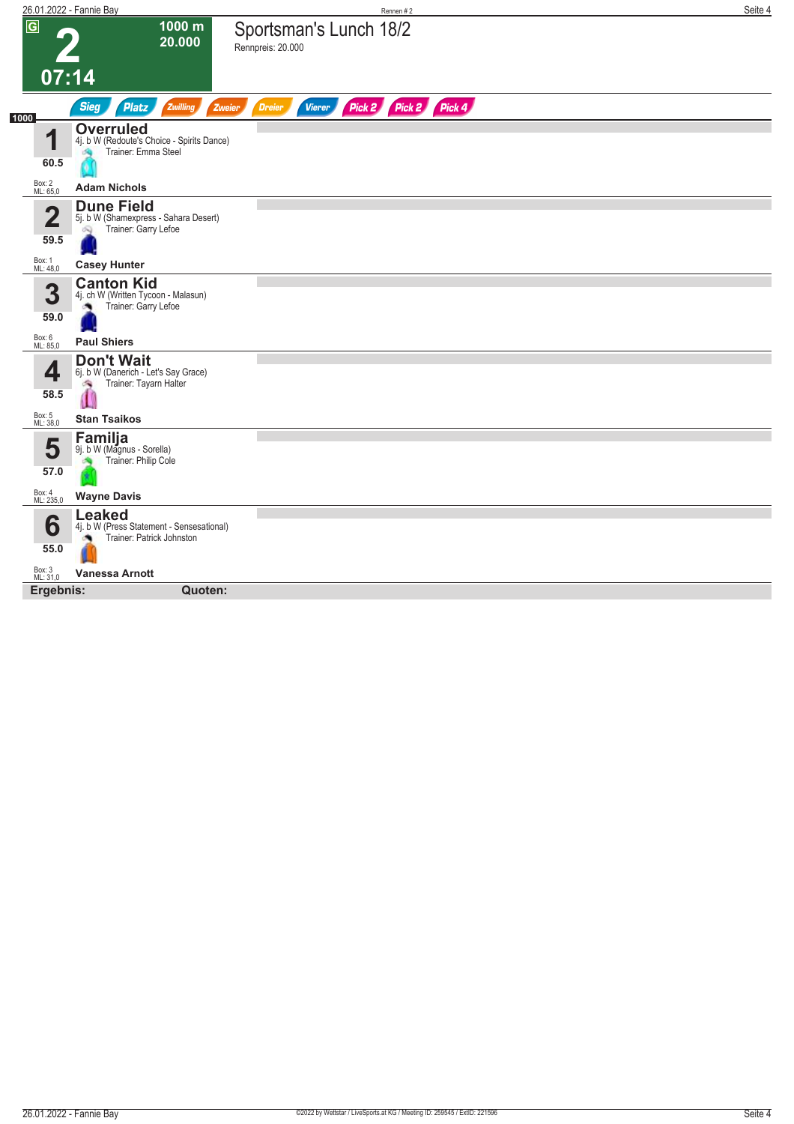|                        | 26.01.2022 - Fannie Bay                                                                      | Rennen #2                                                        | Seite 4 |
|------------------------|----------------------------------------------------------------------------------------------|------------------------------------------------------------------|---------|
| $\overline{G}$         | 1000 m<br>20.000                                                                             | Sportsman's Lunch 18/2<br>Rennpreis: 20.000                      |         |
| 07:14                  |                                                                                              |                                                                  |         |
| 1000                   | <b>Sieg</b><br><b>Platz</b><br>Zwilling                                                      | Pick 2 Pick 2 Pick 4<br><b>Dreier</b><br><b>Vierer</b><br>Zweier |         |
| 1<br>60.5              | <b>Overruled</b><br>4j. b W (Redoute's Choice - Spirits Dance)<br>Trainer: Emma Steel<br>燥   |                                                                  |         |
| Box: 2<br>ML: 65,0     | <b>Adam Nichols</b>                                                                          |                                                                  |         |
| $\overline{2}$<br>59.5 | <b>Dune Field</b><br>5j. b W (Shamexpress - Sahara Desert)<br>Trainer: Garry Lefoe<br>Ŵ      |                                                                  |         |
| Box: 1<br>ML: 48,0     | <b>Casey Hunter</b>                                                                          |                                                                  |         |
| 3<br>59.0              | <b>Canton Kid</b><br>4j. ch W (Written Tycoon - Malasun)<br>Trainer: Garry Lefoe             |                                                                  |         |
| Box: 6<br>ML: 85,0     | <b>Paul Shiers</b>                                                                           |                                                                  |         |
| 4<br>58.5              | <b>Don't Wait</b><br>6j. b W (Danerich - Let's Say Grace)<br>Trainer: Tayarn Halter<br>ंग्रे |                                                                  |         |
| Box: 5<br>ML: 38,0     | <b>Stan Tsaikos</b>                                                                          |                                                                  |         |
| 5<br>57.0              | Familja<br>9j. b W (Magnus - Sorella)<br>Trainer: Philip Cole                                |                                                                  |         |
| Box: 4<br>ML: 235,0    | <b>Wayne Davis</b>                                                                           |                                                                  |         |
| 6<br>55.0              | <b>Leaked</b><br>4j. b W (Press Statement - Sensesational)<br>Trainer: Patrick Johnston      |                                                                  |         |
| Box: 3<br>ML: 31,0     | <b>Vanessa Arnott</b>                                                                        |                                                                  |         |
| Ergebnis:              | Quoten:                                                                                      |                                                                  |         |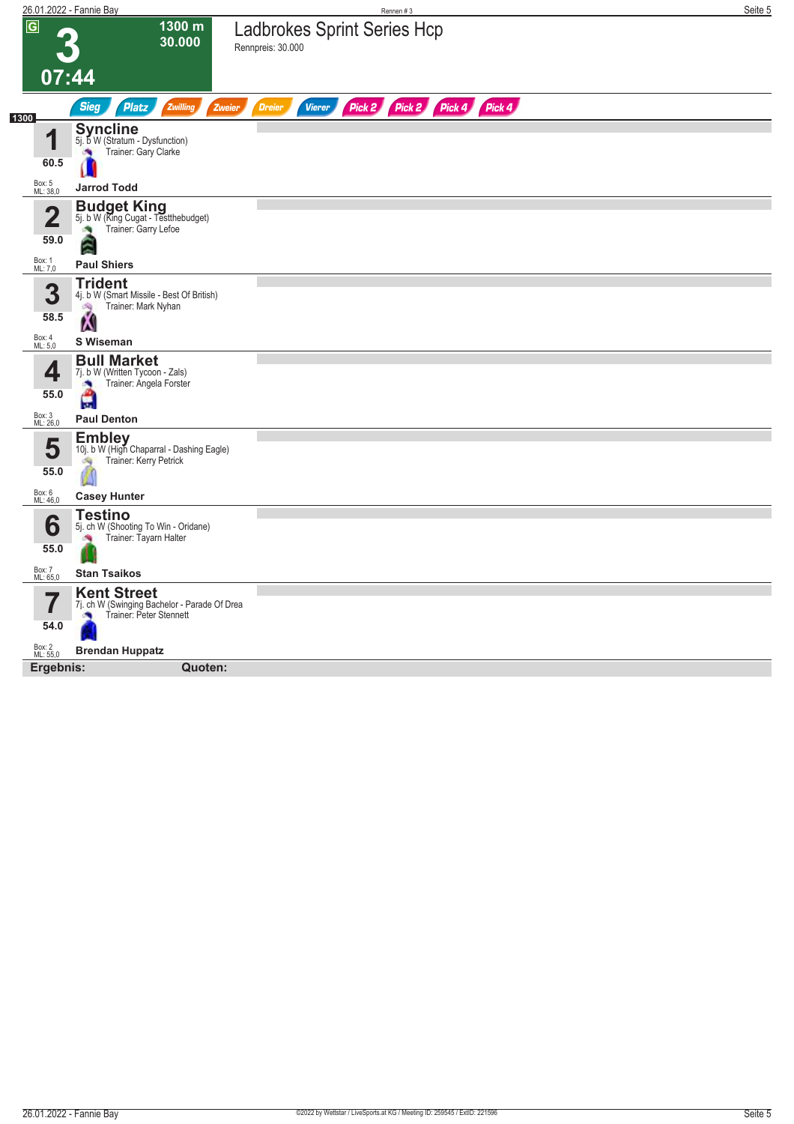|                                 | 26.01.2022 - Fannie Bay                                                                           | Rennen #3                                                     | Seite 5 |
|---------------------------------|---------------------------------------------------------------------------------------------------|---------------------------------------------------------------|---------|
| $\overline{G}$                  | 1300 m<br>30.000                                                                                  | <b>Ladbrokes Sprint Series Hcp</b><br>Rennpreis: 30.000       |         |
|                                 | 07:44                                                                                             |                                                               |         |
| 1300                            | <b>Sieg</b><br><b>Platz</b><br>Zwilling<br><b>Zweier</b>                                          | Pick 2 Pick 2 Pick 4 Pick 4<br><b>Dreier</b><br><b>Vierer</b> |         |
| и<br>60.5                       | <b>Syncline</b><br>5j. b W (Stratum - Dysfunction)<br>Trainer: Gary Clarke<br><b>A</b>            |                                                               |         |
| Box: 5<br>ML: 38,0              | <b>Jarrod Todd</b>                                                                                |                                                               |         |
| $\overline{\mathbf{2}}$<br>59.0 | <b>Budget King</b><br>5j. b W (King Cugat - Testthebudget)<br>Trainer: Garry Lefoe<br>ē           |                                                               |         |
| Box: 1<br>ML: 7,0               | <b>Paul Shiers</b>                                                                                |                                                               |         |
| 3<br>58.5                       | <b>Trident</b><br>4j. b W (Smart Missile - Best Of British)<br>Trainer: Mark Nyhan<br>淘           |                                                               |         |
| Box: 4<br>ML: 5,0               | Ā<br><b>S</b> Wiseman                                                                             |                                                               |         |
| 4<br>55.0                       | <b>Bull Market</b><br>7j. b W (Written Tycoon - Zals)<br>Trainer: Angela Forster<br>×<br>Ĥ        |                                                               |         |
| Box: 3<br>ML: 26,0              | <b>Paul Denton</b>                                                                                |                                                               |         |
| 5<br>55.0                       | <b>Embley</b><br>10j. b W (High Chaparral - Dashing Eagle)<br>Trainer: Kerry Petrick<br><b>SQ</b> |                                                               |         |
| Box: 6<br>ML: 46,0              | <b>Casey Hunter</b>                                                                               |                                                               |         |
| 6<br>55.0                       | <b>Testino</b><br>5j. ch W (Shooting To Win - Oridane)<br>Trainer: Tayarn Halter                  |                                                               |         |
| Box: 7<br>ML: 65,0              | <b>Stan Tsaikos</b>                                                                               |                                                               |         |
| 54.0                            | <b>Kent Street</b><br>7j. ch W (Swinging Bachelor - Parade Of Drea<br>Trainer: Peter Stennett     |                                                               |         |
| Box: 2<br>ML: 55,0              | <b>Brendan Huppatz</b><br>Quoten:                                                                 |                                                               |         |
| Ergebnis:                       |                                                                                                   |                                                               |         |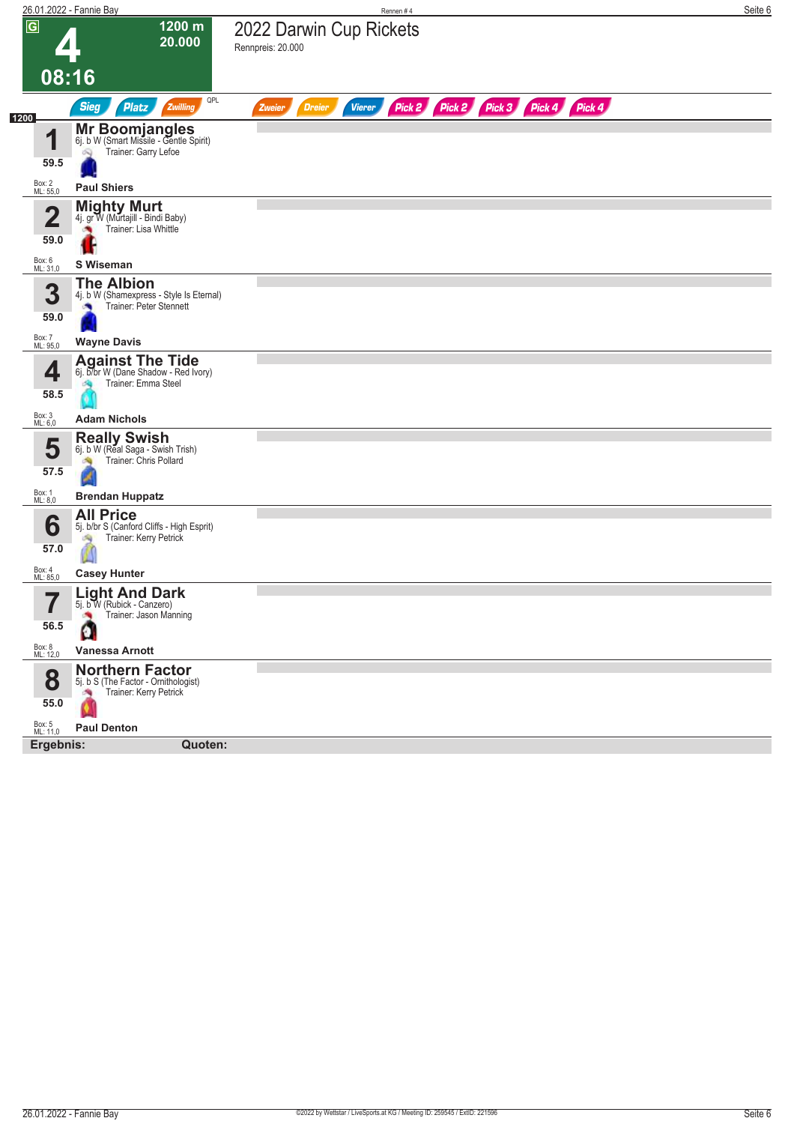|                                 | 26.01.2022 - Fannie Bay                                                                  | Rennen #4                                                               | Seite 6 |
|---------------------------------|------------------------------------------------------------------------------------------|-------------------------------------------------------------------------|---------|
| $\overline{G}$                  | 1200 m<br>20.000                                                                         | 2022 Darwin Cup Rickets<br>Rennpreis: 20.000                            |         |
|                                 | 08:16                                                                                    |                                                                         |         |
|                                 | QPL<br><b>Sieg</b><br><b>Platz</b><br>Zwilling                                           | Pick 2 Pick 2 Pick 3 Pick 4 Pick 4<br><b>Dreier</b><br>Vierer<br>Zweier |         |
| 1200                            |                                                                                          |                                                                         |         |
| и<br>Ш<br>59.5                  | Mr Boomjangles<br>6j. b W (Smart Missile - Gentle Spirit)<br>Trainer: Garry Lefoe<br>Ñ   |                                                                         |         |
|                                 | <b>Paul Shiers</b>                                                                       |                                                                         |         |
| Box: 2<br>ML: 55,0              |                                                                                          |                                                                         |         |
| $\overline{\mathbf{2}}$<br>59.0 | <b>Mighty Murt</b><br>4j. gr W (Murtajill - Bindi Baby)<br>Trainer: Lisa Whittle         |                                                                         |         |
| Box: 6<br>ML: 31,0              | S Wiseman                                                                                |                                                                         |         |
| 3<br>59.0                       | <b>The Albion</b><br>4j. b W (Shamexpress - Style Is Eternal)<br>Trainer: Peter Stennett |                                                                         |         |
| Box: 7<br>ML: 95,0              | <b>Wayne Davis</b>                                                                       |                                                                         |         |
| 4<br>58.5                       | <b>Against The Tide</b><br>6j. b/br W (Dane Shadow - Red Ivory)<br>Trainer: Emma Steel   |                                                                         |         |
| Box: 3<br>ML: 6,0               | <b>Adam Nichols</b>                                                                      |                                                                         |         |
| 5<br>57.5                       | <b>Really Swish</b><br>6j. b W (Real Saga - Swish Trish)<br>Trainer: Chris Pollard<br>d  |                                                                         |         |
| Box: 1<br>ML: 8,0               | <b>Brendan Huppatz</b>                                                                   |                                                                         |         |
| 6<br>57.0                       | <b>All Price</b><br>5j. b/br S (Canford Cliffs - High Esprit)<br>Trainer: Kerry Petrick  |                                                                         |         |
| Box: 4<br>ML: 85,0              | <b>Casey Hunter</b>                                                                      |                                                                         |         |
| 7<br>56.5                       | <b>Light And Dark</b><br>5j. b W (Rubick - Canzero)<br>Trainer: Jason Manning<br>о       |                                                                         |         |
| Box: 8<br>ML: 12,0              | <b>Vanessa Arnott</b>                                                                    |                                                                         |         |
| 8<br>55.0                       | <b>Northern Factor</b><br>5j. b S (The Factor - Ornithologist)<br>Trainer: Kerry Petrick |                                                                         |         |
|                                 |                                                                                          |                                                                         |         |
| Box: 5<br>ML: 11,0<br>Ergebnis: | <b>Paul Denton</b>                                                                       |                                                                         |         |
|                                 | Quoten:                                                                                  |                                                                         |         |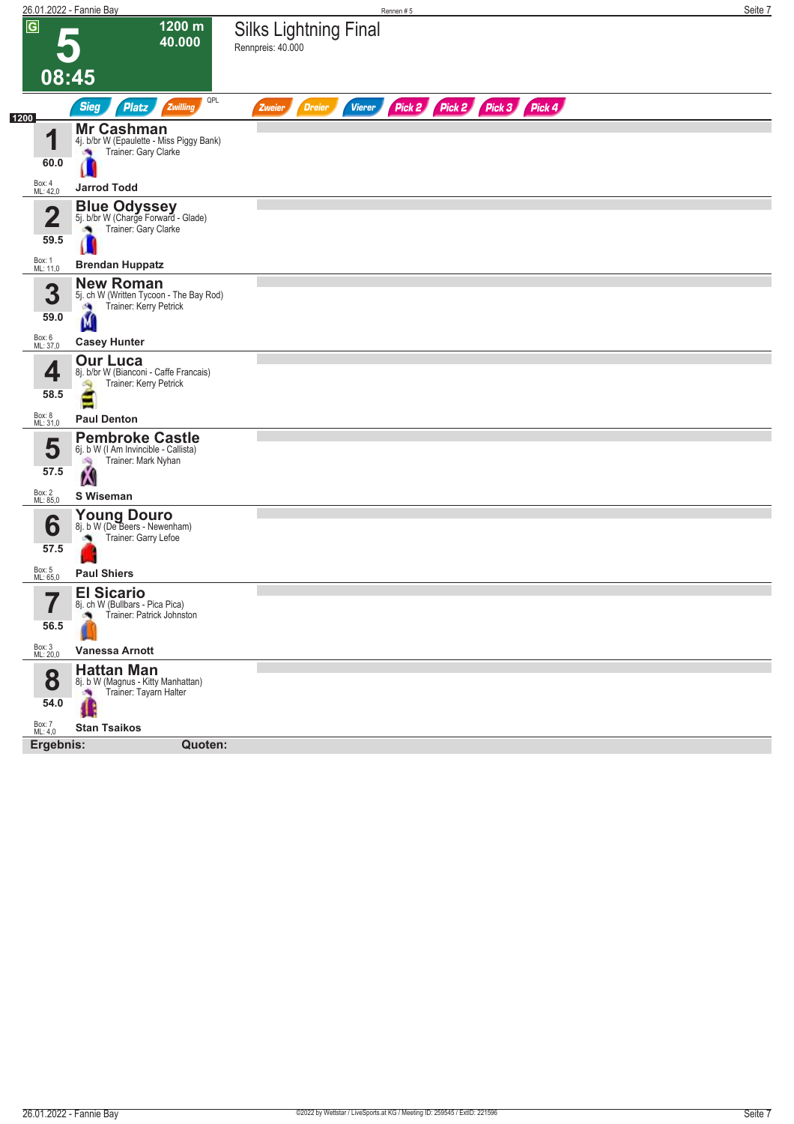|                                 | 26.01.2022 - Fannie Bay                                                                          | Rennen #5                                                               | Seite 7 |
|---------------------------------|--------------------------------------------------------------------------------------------------|-------------------------------------------------------------------------|---------|
| $\overline{G}$                  | 1200 m<br>40.000                                                                                 | <b>Silks Lightning Final</b><br>Rennpreis: 40.000                       |         |
| 08:45                           |                                                                                                  |                                                                         |         |
|                                 | QPL<br><b>Sieg</b><br><b>Platz</b><br>Zwilling                                                   | Pick 2 Pick 2 Pick 3 Pick 4<br><b>Dreier</b><br><b>Vierer</b><br>Zweier |         |
| 1200<br>4                       | Mr Cashman<br>4j. b/br W (Epaulette - Miss Piggy Bank)<br>Trainer: Gary Clarke                   |                                                                         |         |
| 60.0                            |                                                                                                  |                                                                         |         |
| Box: 4<br>ML: 42,0              | <b>Jarrod Todd</b>                                                                               |                                                                         |         |
| $\overline{\mathbf{2}}$<br>59.5 | <b>Blue Odyssey</b><br>5j. b/br W (Charge Forward - Glade)<br>Trainer: Gary Clarke               |                                                                         |         |
| Box: 1<br>ML: 11,0              | <b>Brendan Huppatz</b>                                                                           |                                                                         |         |
| 3<br>59.0                       | <b>New Roman</b><br>5j. ch W (Written Tycoon - The Bay Rod)<br>Trainer: Kerry Petrick<br>ø.<br>M |                                                                         |         |
| Box: 6<br>ML: 37,0              | <b>Casey Hunter</b>                                                                              |                                                                         |         |
| 4<br>58.5                       | <b>Our Luca</b><br>8j. b/br W (Bianconi - Caffe Francais)<br>Trainer: Kerry Petrick              |                                                                         |         |
| Box: 8<br>ML: 31,0              | <b>Paul Denton</b>                                                                               |                                                                         |         |
| 5<br>57.5                       | <b>Pembroke Castle</b><br>6j. b W (I Am Invincible - Callista)<br>Trainer: Mark Nyhan<br>沟<br>X  |                                                                         |         |
| Box: 2<br>ML: 85,0              | S Wiseman                                                                                        |                                                                         |         |
| 6<br>57.5                       | Young Douro<br>8j. b W (De Beers - Newenham)<br>Trainer: Garry Lefoe                             |                                                                         |         |
| Box: 5<br>ML: 65,0              | <b>Paul Shiers</b>                                                                               |                                                                         |         |
| 7<br>56.5                       | <b>El Sicario</b><br>8j. ch W (Bullbars - Pica Pica)<br>Trainer: Patrick Johnston<br>o.          |                                                                         |         |
| Box: 3<br>ML: 20,0              | Vanessa Arnott                                                                                   |                                                                         |         |
| 8<br>54.0                       | <b>Hattan Man</b><br>8j. b W (Magnus - Kitty Manhattan)<br>Trainer: Tayarn Halter<br>×,          |                                                                         |         |
| Box: 7<br>ML: 4,0               | <b>Stan Tsaikos</b>                                                                              |                                                                         |         |
| Ergebnis:                       | Quoten:                                                                                          |                                                                         |         |